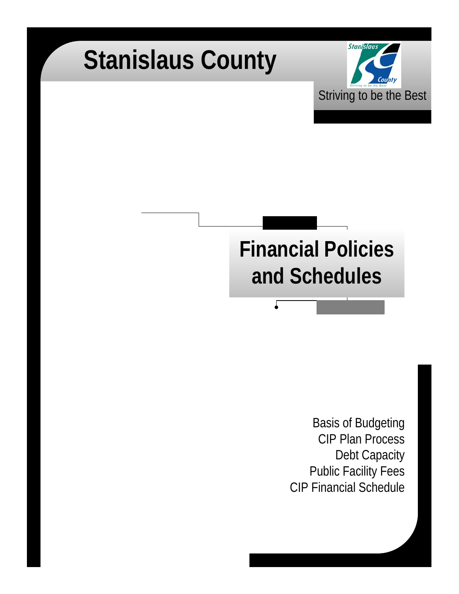# **Stanislaus County**



## **Financial Policies and Schedules**

Г

Basis of Budgeting CIP Plan Process Debt Capacity Public Facility Fees CIP Financial Schedule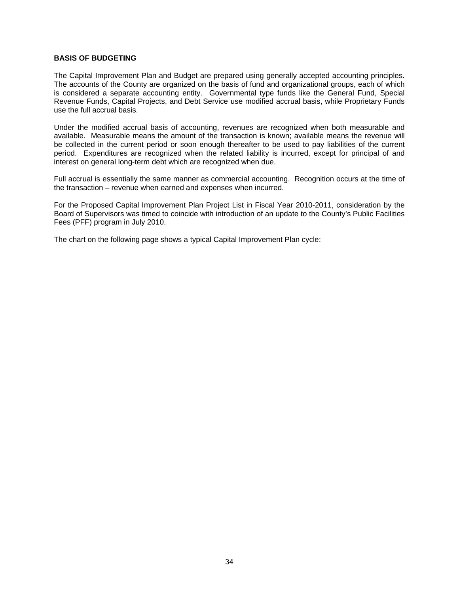#### **BASIS OF BUDGETING**

The Capital Improvement Plan and Budget are prepared using generally accepted accounting principles. The accounts of the County are organized on the basis of fund and organizational groups, each of which is considered a separate accounting entity. Governmental type funds like the General Fund, Special Revenue Funds, Capital Projects, and Debt Service use modified accrual basis, while Proprietary Funds use the full accrual basis.

Under the modified accrual basis of accounting, revenues are recognized when both measurable and available. Measurable means the amount of the transaction is known; available means the revenue will be collected in the current period or soon enough thereafter to be used to pay liabilities of the current period. Expenditures are recognized when the related liability is incurred, except for principal of and interest on general long-term debt which are recognized when due.

Full accrual is essentially the same manner as commercial accounting. Recognition occurs at the time of the transaction – revenue when earned and expenses when incurred.

For the Proposed Capital Improvement Plan Project List in Fiscal Year 2010-2011, consideration by the Board of Supervisors was timed to coincide with introduction of an update to the County's Public Facilities Fees (PFF) program in July 2010.

The chart on the following page shows a typical Capital Improvement Plan cycle: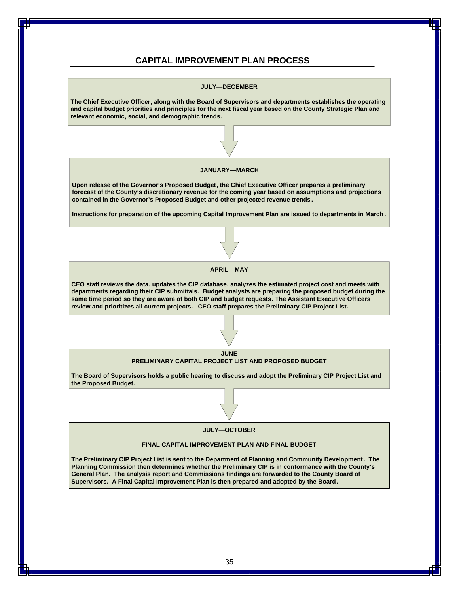#### **CAPITAL IMPROVEMENT PLAN PROCESS**

### **JULY—DECEMBER The Chief Executive Officer, along with the Board of Supervisors and departments establishes the operating and capital budget priorities and principles for the next fiscal year based on the County Strategic Plan and relevant economic, social, and demographic trends. JANUARY—MARCH Upon release of the Governor's Proposed Budget, the Chief Executive Officer prepares a preliminary forecast of the County's discretionary revenue for the coming year based on assumptions and projections contained in the Governor's Proposed Budget and other projected revenue trends. Instructions for preparation of the upcoming Capital Improvement Plan are issued to departments in March . APRIL—MAY CEO staff reviews the data, updates the CIP database, analyzes the estimated project cost and meets with departments regarding their CIP submittals. Budget analysts are preparing the proposed budget during the same time period so they are aware of both CIP and budget requests. The Assistant Executive Officers review and prioritizes all current projects. CEO staff prepares the Preliminary CIP Project List.**



**The Board of Supervisors holds a public hearing to discuss and adopt the Preliminary CIP Project List and the Proposed Budget.**

#### **JULY—OCTOBER**

#### **FINAL CAPITAL IMPROVEMENT PLAN AND FINAL BUDGET**

**The Preliminary CIP Project List is sent to the Department of Planning and Community Development. The Planning Commission then determines whether the Preliminary CIP is in conformance with the County's General Plan. The analysis report and Commissions findings are forwarded to the County Board of Supervisors. A Final Capital Improvement Plan is then prepared and adopted by the Board.**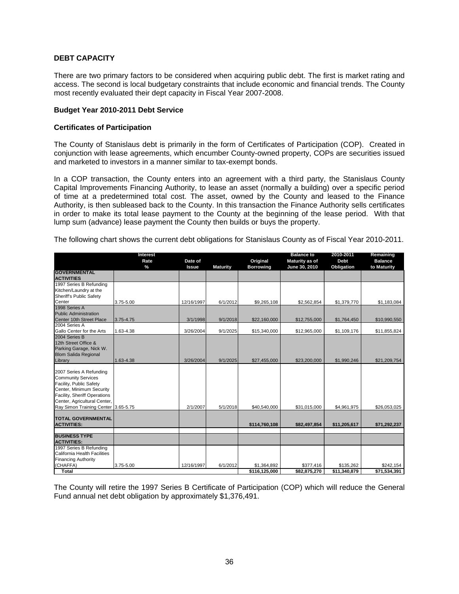#### **DEBT CAPACITY**

There are two primary factors to be considered when acquiring public debt. The first is market rating and access. The second is local budgetary constraints that include economic and financial trends. The County most recently evaluated their dept capacity in Fiscal Year 2007-2008.

#### **Budget Year 2010-2011 Debt Service**

#### **Certificates of Participation**

The County of Stanislaus debt is primarily in the form of Certificates of Participation (COP). Created in conjunction with lease agreements, which encumber County-owned property, COPs are securities issued and marketed to investors in a manner similar to tax-exempt bonds.

In a COP transaction, the County enters into an agreement with a third party, the Stanislaus County Capital Improvements Financing Authority, to lease an asset (normally a building) over a specific period of time at a predetermined total cost. The asset, owned by the County and leased to the Finance Authority, is then subleased back to the County. In this transaction the Finance Authority sells certificates in order to make its total lease payment to the County at the beginning of the lease period. With that lump sum (advance) lease payment the County then builds or buys the property.

The following chart shows the current debt obligations for Stanislaus County as of Fiscal Year 2010-2011.

|                                                                                                                                                                             | <b>Interest</b> |              |                 |                  | <b>Balance to</b> | 2010-2011    | Remaining      |
|-----------------------------------------------------------------------------------------------------------------------------------------------------------------------------|-----------------|--------------|-----------------|------------------|-------------------|--------------|----------------|
|                                                                                                                                                                             | Rate            | Date of      |                 | Original         | Maturity as of    | <b>Debt</b>  | <b>Balance</b> |
|                                                                                                                                                                             | $\frac{9}{6}$   | <b>Issue</b> | <b>Maturity</b> | <b>Borrowing</b> | June 30, 2010     | Obligation   | to Maturity    |
| <b>GOVERNMENTAL</b>                                                                                                                                                         |                 |              |                 |                  |                   |              |                |
| <b>ACTIVITIES</b>                                                                                                                                                           |                 |              |                 |                  |                   |              |                |
| 1997 Series B Refunding                                                                                                                                                     |                 |              |                 |                  |                   |              |                |
| Kitchen/Laundry at the                                                                                                                                                      |                 |              |                 |                  |                   |              |                |
| Sheriff's Public Safety                                                                                                                                                     |                 |              |                 |                  |                   |              |                |
| Center                                                                                                                                                                      | 3.75-5.00       | 12/16/1997   | 6/1/2012        | \$9,265,108      | \$2,562,854       | \$1,379,770  | \$1,183,084    |
| 1998 Series A                                                                                                                                                               |                 |              |                 |                  |                   |              |                |
| <b>Public Administration</b>                                                                                                                                                |                 |              |                 |                  |                   |              |                |
| Center 10th Street Place                                                                                                                                                    | 3.75-4.75       | 3/1/1998     | 9/1/2018        | \$22,160,000     | \$12,755,000      | \$1,764,450  | \$10,990,550   |
| 2004 Series A                                                                                                                                                               |                 |              |                 |                  |                   |              |                |
| Gallo Center for the Arts                                                                                                                                                   | 1.63-4.38       | 3/26/2004    | 9/1/2025        | \$15,340,000     | \$12,965,000      | \$1,109,176  | \$11,855,824   |
| 2004 Series B                                                                                                                                                               |                 |              |                 |                  |                   |              |                |
| 12th Street Office &                                                                                                                                                        |                 |              |                 |                  |                   |              |                |
| Parking Garage, Nick W.                                                                                                                                                     |                 |              |                 |                  |                   |              |                |
| <b>Blom Salida Regional</b>                                                                                                                                                 |                 |              |                 |                  |                   |              |                |
| Library                                                                                                                                                                     | 1.63-4.38       | 3/26/2004    | 9/1/2025        | \$27,455,000     | \$23,200,000      | \$1,990,246  | \$21,209,754   |
| 2007 Series A Refunding<br><b>Community Services</b><br>Facility, Public Safety<br>Center, Minimum Security<br>Facility, Sheriff Operations<br>Center, Agricultural Center, |                 |              |                 |                  |                   |              |                |
| Ray Simon Training Center 3.65-5.75                                                                                                                                         |                 | 2/1/2007     | 5/1/2018        | \$40,540,000     | \$31,015,000      | \$4,961,975  | \$26,053,025   |
| <b>TOTAL GOVERNMENTAL</b><br><b>ACTIVITIES:</b>                                                                                                                             |                 |              |                 | \$114,760,108    | \$82,497,854      | \$11,205,617 | \$71,292,237   |
| <b>BUSINESS TYPE</b>                                                                                                                                                        |                 |              |                 |                  |                   |              |                |
| <b>ACTIVITIES:</b>                                                                                                                                                          |                 |              |                 |                  |                   |              |                |
| 1997 Series B Refunding                                                                                                                                                     |                 |              |                 |                  |                   |              |                |
| California Health Facilities                                                                                                                                                |                 |              |                 |                  |                   |              |                |
| <b>Financing Authority</b>                                                                                                                                                  |                 |              |                 |                  |                   |              |                |
| (CHAFFA)                                                                                                                                                                    | 3.75-5.00       | 12/16/1997   | 6/1/2012        | \$1,364,892      | \$377,416         | \$135,262    | \$242,154      |
| Total                                                                                                                                                                       |                 |              |                 | \$116,125,000    | \$82,875,270      | \$11,340,879 | \$71,534,391   |

The County will retire the 1997 Series B Certificate of Participation (COP) which will reduce the General Fund annual net debt obligation by approximately \$1,376,491.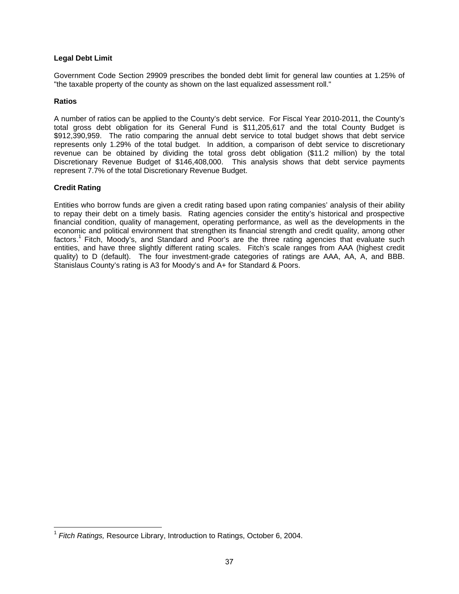#### **Legal Debt Limit**

Government Code Section 29909 prescribes the bonded debt limit for general law counties at 1.25% of "the taxable property of the county as shown on the last equalized assessment roll."

#### **Ratios**

A number of ratios can be applied to the County's debt service. For Fiscal Year 2010-2011, the County's total gross debt obligation for its General Fund is \$11,205,617 and the total County Budget is \$912,390,959. The ratio comparing the annual debt service to total budget shows that debt service represents only 1.29% of the total budget. In addition, a comparison of debt service to discretionary revenue can be obtained by dividing the total gross debt obligation (\$11.2 million) by the total Discretionary Revenue Budget of \$146,408,000. This analysis shows that debt service payments represent 7.7% of the total Discretionary Revenue Budget.

#### **Credit Rating**

 $\overline{a}$ 

Entities who borrow funds are given a credit rating based upon rating companies' analysis of their ability to repay their debt on a timely basis. Rating agencies consider the entity's historical and prospective financial condition, quality of management, operating performance, as well as the developments in the economic and political environment that strengthen its financial strength and credit quality, among other factors.<sup>1</sup> Fitch, Moody's, and Standard and Poor's are the three rating agencies that evaluate such entities, and have three slightly different rating scales. Fitch's scale ranges from AAA (highest credit quality) to D (default). The four investment-grade categories of ratings are AAA, AA, A, and BBB. Stanislaus County's rating is A3 for Moody's and A+ for Standard & Poors.

<sup>1</sup> *Fitch Ratings,* Resource Library, Introduction to Ratings, October 6, 2004.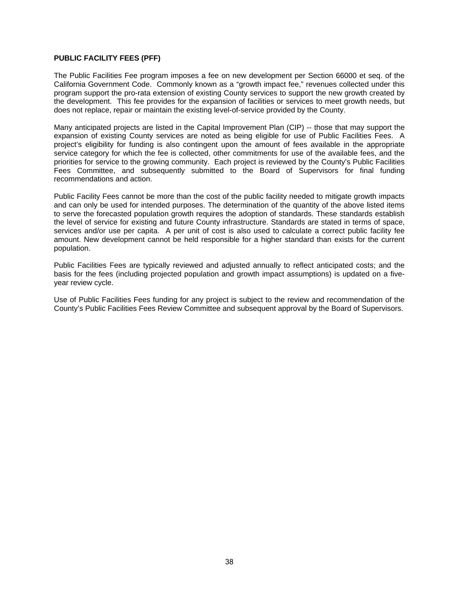#### **PUBLIC FACILITY FEES (PFF)**

The Public Facilities Fee program imposes a fee on new development per Section 66000 et seq. of the California Government Code. Commonly known as a "growth impact fee," revenues collected under this program support the pro-rata extension of existing County services to support the new growth created by the development. This fee provides for the expansion of facilities or services to meet growth needs, but does not replace, repair or maintain the existing level-of-service provided by the County.

Many anticipated projects are listed in the Capital Improvement Plan (CIP) -- those that may support the expansion of existing County services are noted as being eligible for use of Public Facilities Fees. A project's eligibility for funding is also contingent upon the amount of fees available in the appropriate service category for which the fee is collected, other commitments for use of the available fees, and the priorities for service to the growing community. Each project is reviewed by the County's Public Facilities Fees Committee, and subsequently submitted to the Board of Supervisors for final funding recommendations and action.

Public Facility Fees cannot be more than the cost of the public facility needed to mitigate growth impacts and can only be used for intended purposes. The determination of the quantity of the above listed items to serve the forecasted population growth requires the adoption of standards. These standards establish the level of service for existing and future County infrastructure. Standards are stated in terms of space, services and/or use per capita. A per unit of cost is also used to calculate a correct public facility fee amount. New development cannot be held responsible for a higher standard than exists for the current population.

Public Facilities Fees are typically reviewed and adjusted annually to reflect anticipated costs; and the basis for the fees (including projected population and growth impact assumptions) is updated on a fiveyear review cycle.

Use of Public Facilities Fees funding for any project is subject to the review and recommendation of the County's Public Facilities Fees Review Committee and subsequent approval by the Board of Supervisors.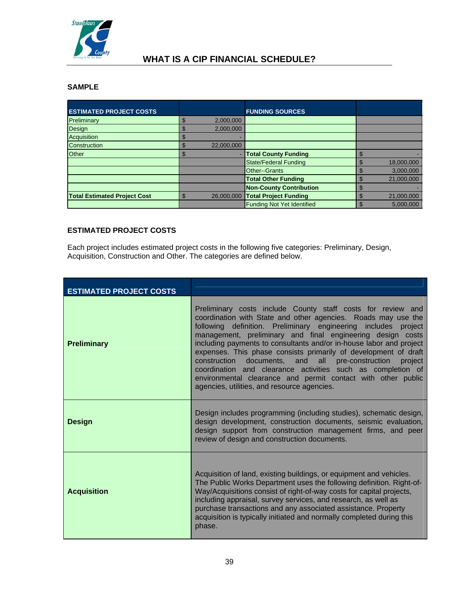

#### **WHAT IS A CIP FINANCIAL SCHEDULE?**

#### **SAMPLE**

| <b>ESTIMATED PROJECT COSTS</b>      |                 | <b>FUNDING SOURCES</b>            |            |
|-------------------------------------|-----------------|-----------------------------------|------------|
| Preliminary                         | 2,000,000<br>S. |                                   |            |
| Design                              | 2,000,000       |                                   |            |
| Acquisition                         |                 |                                   |            |
| Construction                        | 22,000,000      |                                   |            |
| Other                               | ٠<br>m          | <b>Total County Funding</b>       |            |
|                                     |                 | <b>State/Federal Funding</b>      | 18,000,000 |
|                                     |                 | <b>Other--Grants</b>              | 3,000,000  |
|                                     |                 | <b>Total Other Funding</b>        | 21,000,000 |
|                                     |                 | <b>Non-County Contribution</b>    |            |
| <b>Total Estimated Project Cost</b> | 26,000,000      | <b>Total Project Funding</b>      | 21,000,000 |
|                                     |                 | <b>Funding Not Yet Identified</b> | 5.000.000  |

#### **ESTIMATED PROJECT COSTS**

Each project includes estimated project costs in the following five categories: Preliminary, Design, Acquisition, Construction and Other. The categories are defined below.

| <b>ESTIMATED PROJECT COSTS</b> |                                                                                                                                                                                                                                                                                                                                                                                                                                                                                                                                                                                                                                                           |
|--------------------------------|-----------------------------------------------------------------------------------------------------------------------------------------------------------------------------------------------------------------------------------------------------------------------------------------------------------------------------------------------------------------------------------------------------------------------------------------------------------------------------------------------------------------------------------------------------------------------------------------------------------------------------------------------------------|
| <b>Preliminary</b>             | Preliminary costs include County staff costs for review and<br>coordination with State and other agencies. Roads may use the<br>following definition. Preliminary engineering includes<br>project<br>management, preliminary and final engineering design costs<br>including payments to consultants and/or in-house labor and project<br>expenses. This phase consists primarily of development of draft<br>documents, and all pre-construction<br>construction<br>project<br>coordination and clearance activities such as completion of<br>environmental clearance and permit contact with other public<br>agencies, utilities, and resource agencies. |
| <b>Design</b>                  | Design includes programming (including studies), schematic design,<br>design development, construction documents, seismic evaluation,<br>design support from construction management firms, and peer<br>review of design and construction documents.                                                                                                                                                                                                                                                                                                                                                                                                      |
| <b>Acquisition</b>             | Acquisition of land, existing buildings, or equipment and vehicles.<br>The Public Works Department uses the following definition. Right-of-<br>Way/Acquisitions consist of right-of-way costs for capital projects,<br>including appraisal, survey services, and research, as well as<br>purchase transactions and any associated assistance. Property<br>acquisition is typically initiated and normally completed during this<br>phase.                                                                                                                                                                                                                 |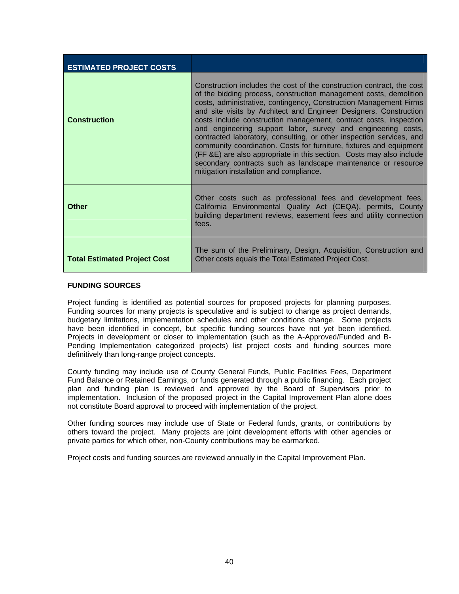| <b>ESTIMATED PROJECT COSTS</b>      |                                                                                                                                                                                                                                                                                                                                                                                                                                                                                                                                                                                                                                                                                                                                                               |
|-------------------------------------|---------------------------------------------------------------------------------------------------------------------------------------------------------------------------------------------------------------------------------------------------------------------------------------------------------------------------------------------------------------------------------------------------------------------------------------------------------------------------------------------------------------------------------------------------------------------------------------------------------------------------------------------------------------------------------------------------------------------------------------------------------------|
| <b>Construction</b>                 | Construction includes the cost of the construction contract, the cost<br>of the bidding process, construction management costs, demolition<br>costs, administrative, contingency, Construction Management Firms<br>and site visits by Architect and Engineer Designers. Construction<br>costs include construction management, contract costs, inspection<br>and engineering support labor, survey and engineering costs,<br>contracted laboratory, consulting, or other inspection services, and<br>community coordination. Costs for furniture, fixtures and equipment<br>(FF & E) are also appropriate in this section. Costs may also include<br>secondary contracts such as landscape maintenance or resource<br>mitigation installation and compliance. |
| <b>Other</b>                        | Other costs such as professional fees and development fees,<br>California Environmental Quality Act (CEQA), permits, County<br>building department reviews, easement fees and utility connection<br>fees.                                                                                                                                                                                                                                                                                                                                                                                                                                                                                                                                                     |
| <b>Total Estimated Project Cost</b> | The sum of the Preliminary, Design, Acquisition, Construction and<br>Other costs equals the Total Estimated Project Cost.                                                                                                                                                                                                                                                                                                                                                                                                                                                                                                                                                                                                                                     |

#### **FUNDING SOURCES**

Project funding is identified as potential sources for proposed projects for planning purposes. Funding sources for many projects is speculative and is subject to change as project demands, budgetary limitations, implementation schedules and other conditions change. Some projects have been identified in concept, but specific funding sources have not yet been identified. Projects in development or closer to implementation (such as the A-Approved/Funded and B-Pending Implementation categorized projects) list project costs and funding sources more definitively than long-range project concepts.

County funding may include use of County General Funds, Public Facilities Fees, Department Fund Balance or Retained Earnings, or funds generated through a public financing. Each project plan and funding plan is reviewed and approved by the Board of Supervisors prior to implementation. Inclusion of the proposed project in the Capital Improvement Plan alone does not constitute Board approval to proceed with implementation of the project.

Other funding sources may include use of State or Federal funds, grants, or contributions by others toward the project. Many projects are joint development efforts with other agencies or private parties for which other, non-County contributions may be earmarked.

Project costs and funding sources are reviewed annually in the Capital Improvement Plan.